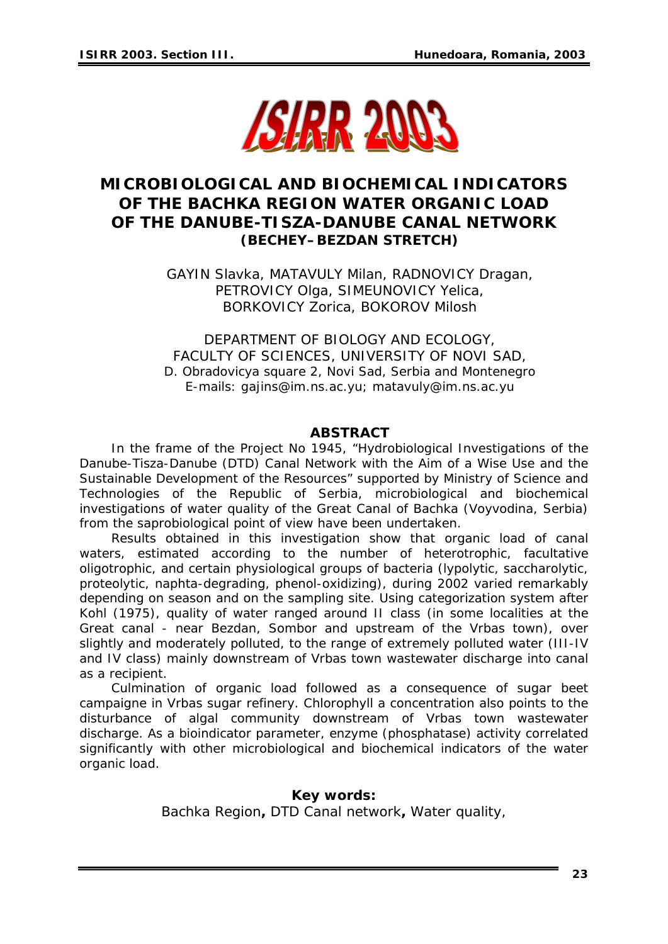

# **MICROBIOLOGICAL AND BIOCHEMICAL INDICATORS OF THE BACHKA REGION WATER ORGANIC LOAD OF THE DANUBE-TISZA-DANUBE CANAL NETWORK (BECHEY–BEZDAN STRETCH)**

GAYIN Slavka, MATAVULY Milan, RADNOVICY Dragan, PETROVICY Olga, SIMEUNOVICY Yelica, BORKOVICY Zorica, BOKOROV Milosh

DEPARTMENT OF BIOLOGY AND ECOLOGY, FACULTY OF SCIENCES, UNIVERSITY OF NOVI SAD, D. Obradovicya square 2, Novi Sad, Serbia and Montenegro E-mails: *gajins@im.ns.ac.yu; [matavuly@im.ns.ac.yu](mailto:matavuly@im.ns.ac.yu)* 

#### *ABSTRACT*

*In the frame of the Project No 1945, "Hydrobiological Investigations of the Danube-Tisza-Danube (DTD) Canal Network with the Aim of a Wise Use and the Sustainable Development of the Resources" supported by Ministry of Science and Technologies of the Republic of Serbia, microbiological and biochemical investigations of water quality of the Great Canal of Bachka (Voyvodina, Serbia) from the saprobiological point of view have been undertaken.* 

*Results obtained in this investigation show that organic load of canal waters, estimated according to the number of heterotrophic, facultative oligotrophic, and certain physiological groups of bacteria (lypolytic, saccharolytic, proteolytic, naphta-degrading, phenol-oxidizing), during 2002 varied remarkably depending on season and on the sampling site. Using categorization system after Kohl (1975), quality of water ranged around II class (in some localities at the Great canal - near Bezdan, Sombor and upstream of the Vrbas town), over slightly and moderately polluted, to the range of extremely polluted water (III-IV*  and IV class) mainly downstream of Vrbas town wastewater discharge into canal *as a recipient.* 

*Culmination of organic load followed as a consequence of sugar beet campaigne in Vrbas sugar refinery. Chlorophyll a concentration also points to the disturbance of algal community downstream of Vrbas town wastewater discharge. As a bioindicator parameter, enzyme (phosphatase) activity correlated significantly with other microbiological and biochemical indicators of the water organic load.* 

#### *Key words: Bachka Region, DTD Canal network, Water quality,*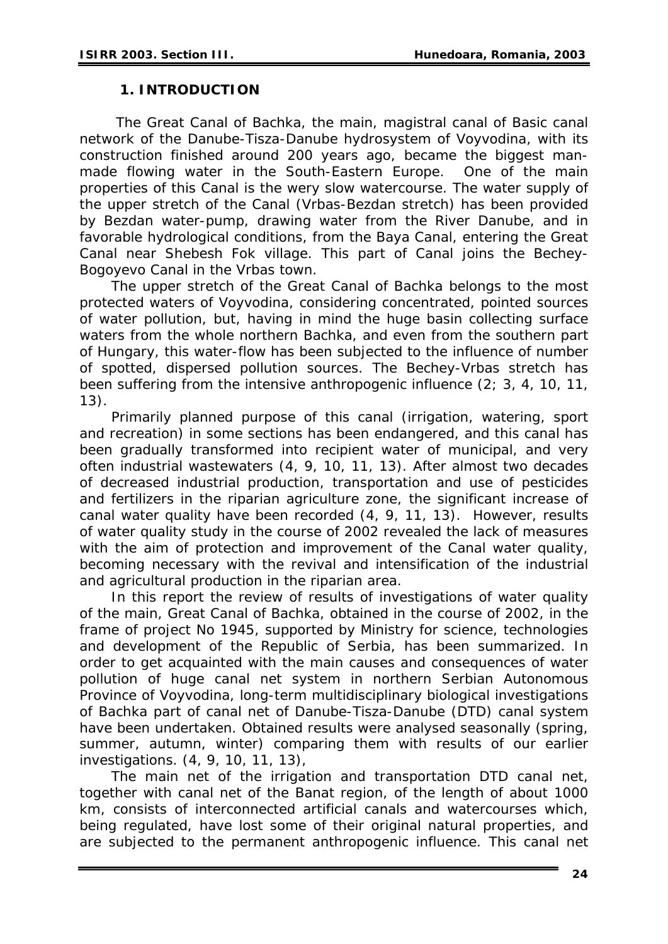## **1. INTRODUCTION**

 The Great Canal of Bachka, the main, magistral canal of Basic canal network of the Danube-Tisza-Danube hydrosystem of Voyvodina, with its construction finished around 200 years ago, became the biggest manmade flowing water in the South-Eastern Europe. One of the main properties of this Canal is the wery slow watercourse. The water supply of the upper stretch of the Canal (Vrbas-Bezdan stretch) has been provided by Bezdan water-pump, drawing water from the River Danube, and in favorable hydrological conditions, from the Baya Canal, entering the Great Canal near Shebesh Fok village. This part of Canal joins the Bechey-Bogoyevo Canal in the Vrbas town.

The upper stretch of the Great Canal of Bachka belongs to the most protected waters of Voyvodina, considering concentrated, pointed sources of water pollution, but, having in mind the huge basin collecting surface waters from the whole northern Bachka, and even from the southern part of Hungary, this water-flow has been subjected to the influence of number of spotted, dispersed pollution sources. The Bechey-Vrbas stretch has been suffering from the intensive anthropogenic influence (2; 3, 4, 10, 11, 13).

Primarily planned purpose of this canal (irrigation, watering, sport and recreation) in some sections has been endangered, and this canal has been gradually transformed into recipient water of municipal, and very often industrial wastewaters (4, 9, 10, 11, 13). After almost two decades of decreased industrial production, transportation and use of pesticides and fertilizers in the riparian agriculture zone, the significant increase of canal water quality have been recorded (4, 9, 11, 13). However, results of water quality study in the course of 2002 revealed the lack of measures with the aim of protection and improvement of the Canal water quality, becoming necessary with the revival and intensification of the industrial and agricultural production in the riparian area.

In this report the review of results of investigations of water quality of the main, Great Canal of Bachka, obtained in the course of 2002, in the frame of project No 1945, supported by Ministry for science, technologies and development of the Republic of Serbia, has been summarized. In order to get acquainted with the main causes and consequences of water pollution of huge canal net system in northern Serbian Autonomous Province of Voyvodina, long-term multidisciplinary biological investigations of Bachka part of canal net of Danube-Tisza-Danube (DTD) canal system have been undertaken. Obtained results were analysed seasonally (spring, summer, autumn, winter) comparing them with results of our earlier investigations. (4, 9, 10, 11, 13),

The main net of the irrigation and transportation DTD canal net, together with canal net of the Banat region, of the length of about 1000 km, consists of interconnected artificial canals and watercourses which, being regulated, have lost some of their original natural properties, and are subjected to the permanent anthropogenic influence. This canal net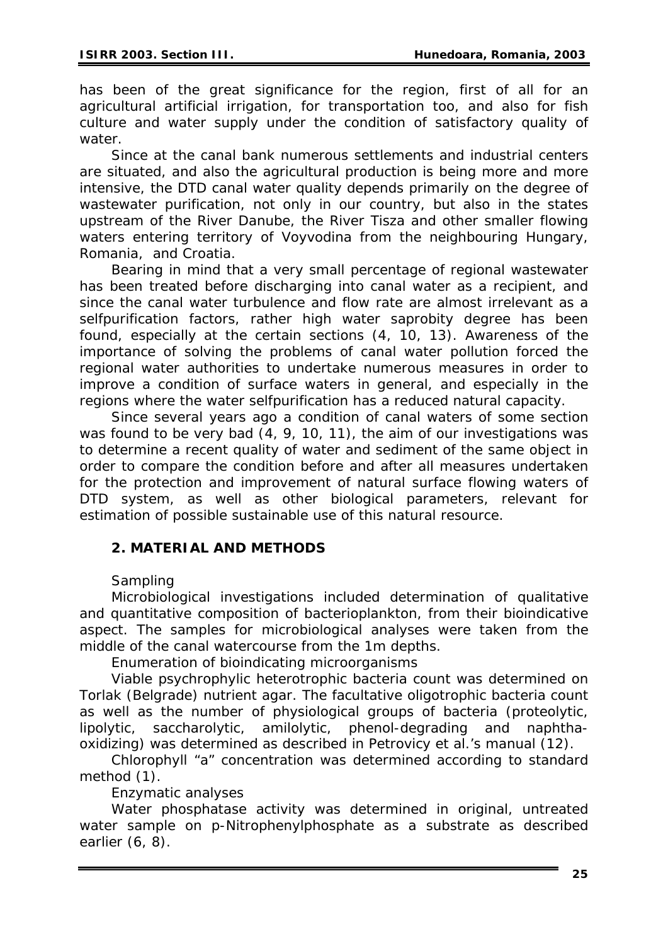has been of the great significance for the region, first of all for an agricultural artificial irrigation, for transportation too, and also for fish culture and water supply under the condition of satisfactory quality of water.

Since at the canal bank numerous settlements and industrial centers are situated, and also the agricultural production is being more and more intensive, the DTD canal water quality depends primarily on the degree of wastewater purification, not only in our country, but also in the states upstream of the River Danube, the River Tisza and other smaller flowing waters entering territory of Voyvodina from the neighbouring Hungary, Romania, and Croatia.

Bearing in mind that a very small percentage of regional wastewater has been treated before discharging into canal water as a recipient, and since the canal water turbulence and flow rate are almost irrelevant as a selfpurification factors, rather high water saprobity degree has been found, especially at the certain sections (4, 10, 13). Awareness of the importance of solving the problems of canal water pollution forced the regional water authorities to undertake numerous measures in order to improve a condition of surface waters in general, and especially in the regions where the water selfpurification has a reduced natural capacity.

Since several years ago a condition of canal waters of some section was found to be very bad (4, 9, 10, 11), the aim of our investigations was to determine a recent quality of water and sediment of the same object in order to compare the condition before and after all measures undertaken for the protection and improvement of natural surface flowing waters of DTD system, as well as other biological parameters, relevant for estimation of possible sustainable use of this natural resource.

## **2. MATERIAL AND METHODS**

### *Sampling*

Microbiological investigations included determination of qualitative and quantitative composition of bacterioplankton, from their bioindicative aspect. The samples for microbiological analyses were taken from the middle of the canal watercourse from the 1m depths.

*Enumeration of bioindicating microorganisms* 

Viable psychrophylic heterotrophic bacteria count was determined on Torlak (Belgrade) nutrient agar. The facultative oligotrophic bacteria count as well as the number of physiological groups of bacteria (proteolytic, lipolytic, saccharolytic, amilolytic, phenol-degrading and naphthaoxidizing) was determined as described in Petrovicy *et al.*'s manual (12).

Chlorophyll "*a"* concentration was determined according to standard method (1).

*Enzymatic analyses* 

Water phosphatase activity was determined in original, untreated water sample on p-Nitrophenylphosphate as a substrate as described earlier (6, 8).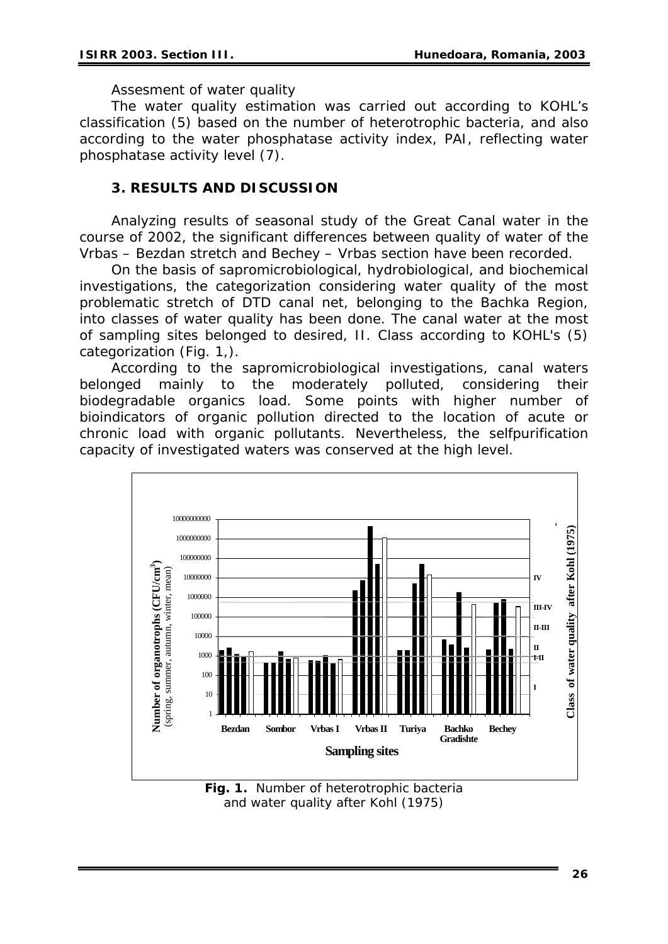### *Assesment of water quality*

The water quality estimation was carried out according to KOHL's classification (5) based on the number of heterotrophic bacteria, and also according to the water phosphatase activity index, PAI, reflecting water phosphatase activity level (7).

### **3. RESULTS AND DISCUSSION**

Analyzing results of seasonal study of the Great Canal water in the course of 2002, the significant differences between quality of water of the Vrbas – Bezdan stretch and Bechey – Vrbas section have been recorded.

On the basis of sapromicrobiological, hydrobiological, and biochemical investigations, the categorization considering water quality of the most problematic stretch of DTD canal net, belonging to the Bachka Region, into classes of water quality has been done. The canal water at the most of sampling sites belonged to desired, II. Class according to KOHL's (5) categorization (Fig. 1,).

According to the sapromicrobiological investigations, canal waters belonged mainly to the moderately polluted, considering their biodegradable organics load. Some points with higher number of bioindicators of organic pollution directed to the location of acute or chronic load with organic pollutants. Nevertheless, the selfpurification capacity of investigated waters was conserved at the high level.



**Fig. 1.** Number of heterotrophic bacteria and water quality after Kohl (1975)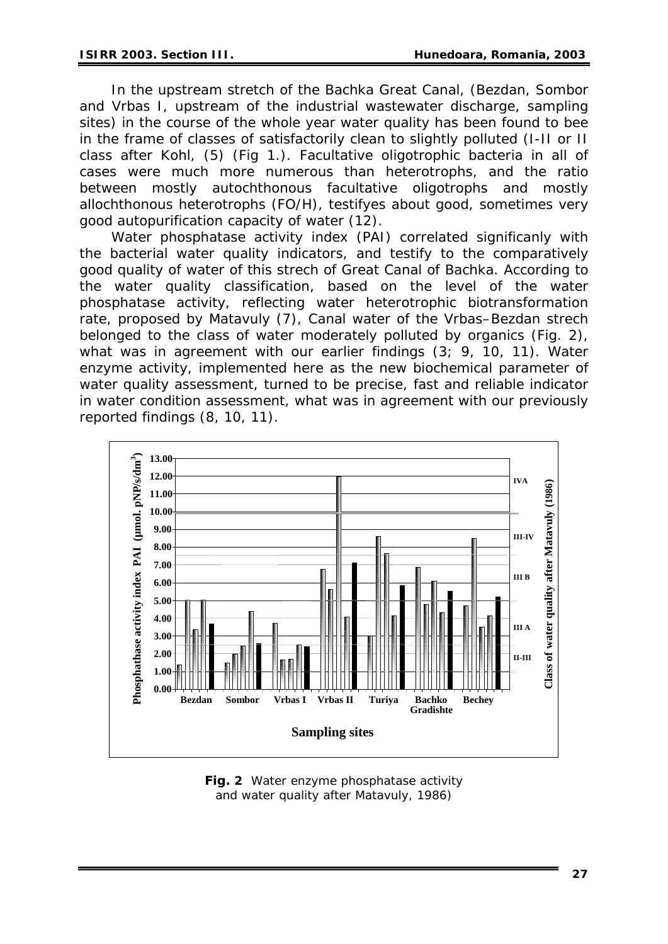In the upstream stretch of the Bachka Great Canal, (Bezdan, Sombor and Vrbas I, upstream of the industrial wastewater discharge, sampling sites) in the course of the whole year water quality has been found to bee in the frame of classes of satisfactorily clean to slightly polluted (I-II or II class after Kohl, (5) (Fig 1.). Facultative oligotrophic bacteria in all of cases were much more numerous than heterotrophs, and the ratio between mostly autochthonous facultative oligotrophs and mostly allochthonous heterotrophs (FO/H), testifyes about good, sometimes very good autopurification capacity of water (12).

Water phosphatase activity index (PAI) correlated significanly with the bacterial water quality indicators, and testify to the comparatively good quality of water of this strech of Great Canal of Bachka. According to the water quality classification, based on the level of the water phosphatase activity, reflecting water heterotrophic biotransformation rate, proposed by Matavuly (7), Canal water of the Vrbas–Bezdan strech belonged to the class of water moderately polluted by organics (Fig. 2), what was in agreement with our earlier findings (3; 9, 10, 11). Water enzyme activity, implemented here as the new biochemical parameter of water quality assessment, turned to be precise, fast and reliable indicator in water condition assessment, what was in agreement with our previously reported findings (8, 10, 11).



**Fig. 2** Water enzyme phosphatase activity and water quality after Matavuly, 1986)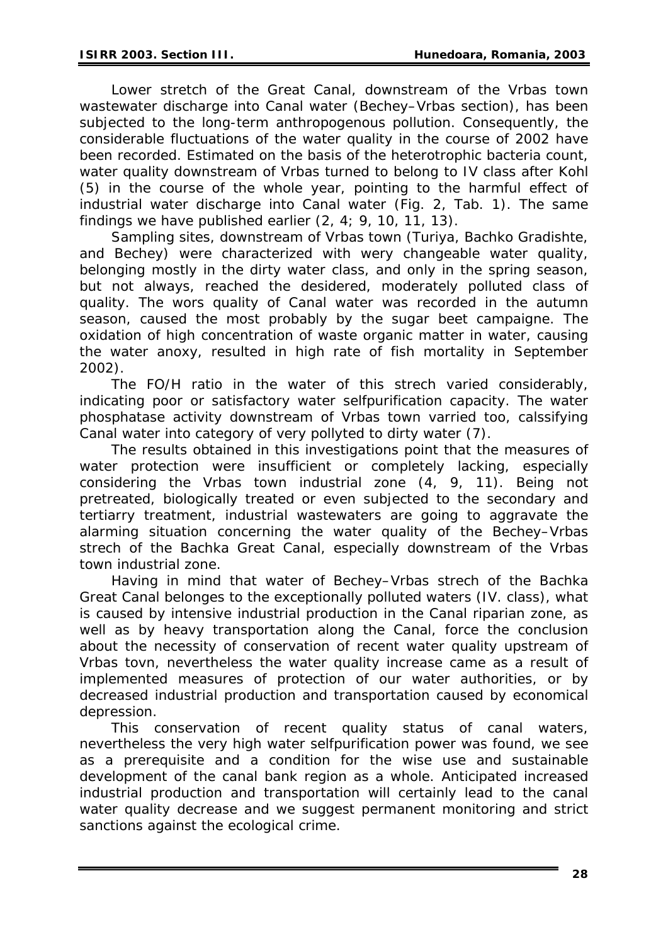Lower stretch of the Great Canal, downstream of the Vrbas town wastewater discharge into Canal water (Bechey–Vrbas section), has been subjected to the long-term anthropogenous pollution. Consequently, the considerable fluctuations of the water quality in the course of 2002 have been recorded. Estimated on the basis of the heterotrophic bacteria count, water quality downstream of Vrbas turned to belong to IV class after Kohl (5) in the course of the whole year, pointing to the harmful effect of industrial water discharge into Canal water (Fig. 2, Tab. 1). The same findings we have published earlier (2, 4; 9, 10, 11, 13).

Sampling sites, downstream of Vrbas town (Turiya, Bachko Gradishte, and Bechey) were characterized with wery changeable water quality, belonging mostly in the dirty water class, and only in the spring season, but not always, reached the desidered, moderately polluted class of quality. The wors quality of Canal water was recorded in the autumn season, caused the most probably by the sugar beet campaigne. The oxidation of high concentration of waste organic matter in water, causing the water anoxy, resulted in high rate of fish mortality in September 2002).

The FO/H ratio in the water of this strech varied considerably, indicating poor or satisfactory water selfpurification capacity. The water phosphatase activity downstream of Vrbas town varried too, calssifying Canal water into category of very pollyted to dirty water (7).

The results obtained in this investigations point that the measures of water protection were insufficient or completely lacking, especially considering the Vrbas town industrial zone (4, 9, 11). Being not pretreated, biologically treated or even subjected to the secondary and tertiarry treatment, industrial wastewaters are going to aggravate the alarming situation concerning the water quality of the Bechey–Vrbas strech of the Bachka Great Canal, especially downstream of the Vrbas town industrial zone.

Having in mind that water of Bechey–Vrbas strech of the Bachka Great Canal belonges to the exceptionally polluted waters (IV. class), what is caused by intensive industrial production in the Canal riparian zone, as well as by heavy transportation along the Canal, force the conclusion about the necessity of conservation of recent water quality upstream of Vrbas tovn, nevertheless the water quality increase came as a result of implemented measures of protection of our water authorities, or by decreased industrial production and transportation caused by economical depression.

This conservation of recent quality status of canal waters, nevertheless the very high water selfpurification power was found, we see as a prerequisite and a condition for the wise use and sustainable development of the canal bank region as a whole. Anticipated increased industrial production and transportation will certainly lead to the canal water quality decrease and we suggest permanent monitoring and strict sanctions against the ecological crime.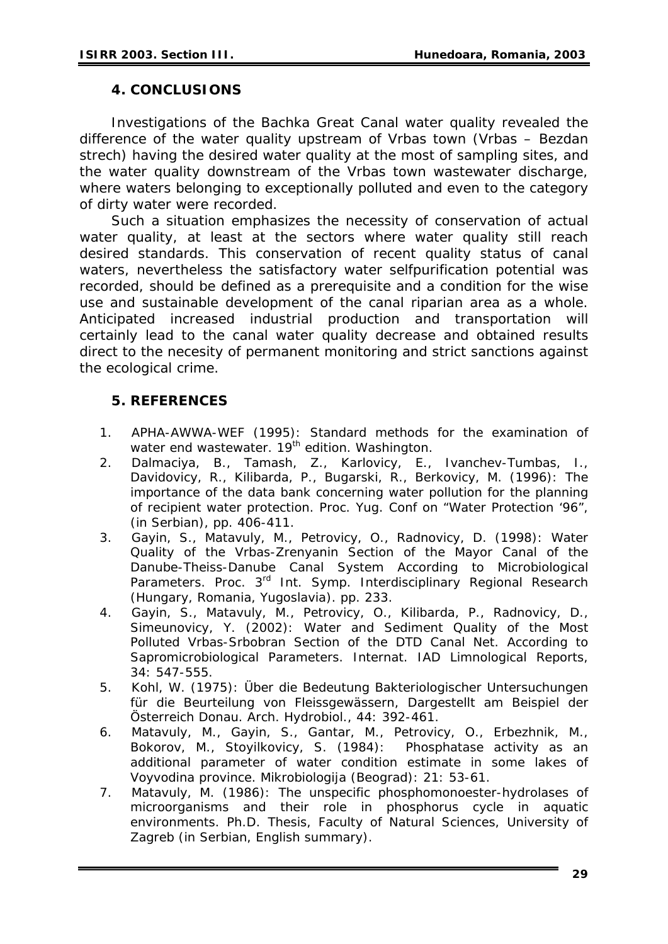## **4. CONCLUSIONS**

Investigations of the Bachka Great Canal water quality revealed the difference of the water quality upstream of Vrbas town (Vrbas – Bezdan strech) having the desired water quality at the most of sampling sites, and the water quality downstream of the Vrbas town wastewater discharge, where waters belonging to exceptionally polluted and even to the category of dirty water were recorded.

Such a situation emphasizes the necessity of conservation of actual water quality, at least at the sectors where water quality still reach desired standards. This conservation of recent quality status of canal waters, nevertheless the satisfactory water selfpurification potential was recorded, should be defined as a prerequisite and a condition for the wise use and sustainable development of the canal riparian area as a whole. Anticipated increased industrial production and transportation will certainly lead to the canal water quality decrease and obtained results direct to the necesity of permanent monitoring and strict sanctions against the ecological crime.

## **5. REFERENCES**

- 1. APHA-AWWA-WEF (1995): Standard methods for the examination of water end wastewater. 19<sup>th</sup> edition. Washington.
- 2. Dalmaciya, B., Tamash, Z., Karlovicy, E., Ivanchev-Tumbas, I., Davidovicy, R., Kilibarda, P., Bugarski, R., Berkovicy, M. (1996): The importance of the data bank concerning water pollution for the planning of recipient water protection. Proc. Yug. Conf on "Water Protection '96", (in Serbian), pp. 406-411.
- 3. Gayin, S., Matavuly, M., Petrovicy, O., Radnovicy, D. (1998): Water Quality of the Vrbas-Zrenyanin Section of the Mayor Canal of the Danube-Theiss-Danube Canal System According to Microbiological Parameters. Proc. 3<sup>rd</sup> Int. Symp. Interdisciplinary Regional Research (Hungary, Romania, Yugoslavia). pp. 233.
- 4. Gayin, S., Matavuly, M., Petrovicy, O., Kilibarda, P., Radnovicy, D., Simeunovicy, Y. (2002): Water and Sediment Quality of the Most Polluted Vrbas-Srbobran Section of the DTD Canal Net. According to Sapromicrobiological Parameters. Internat. IAD Limnological Reports, 34: 547-555.
- 5. Kohl, W. (1975): Über die Bedeutung Bakteriologischer Untersuchungen für die Beurteilung von Fleissgewässern, Dargestellt am Beispiel der Österreich Donau. Arch. Hydrobiol., 44: 392-461.
- 6. Matavuly, M., Gayin, S., Gantar, M., Petrovicy, O., Erbezhnik, M., Bokorov, M., Stoyilkovicy, S. (1984): Phosphatase activity as an additional parameter of water condition estimate in some lakes of Voyvodina province. Mikrobiologija (Beograd): 21: 53-61.
- 7. Matavuly, M. (1986): The unspecific phosphomonoester-hydrolases of microorganisms and their role in phosphorus cycle in aquatic environments. Ph.D. Thesis, Faculty of Natural Sciences, University of Zagreb (in Serbian, English summary).